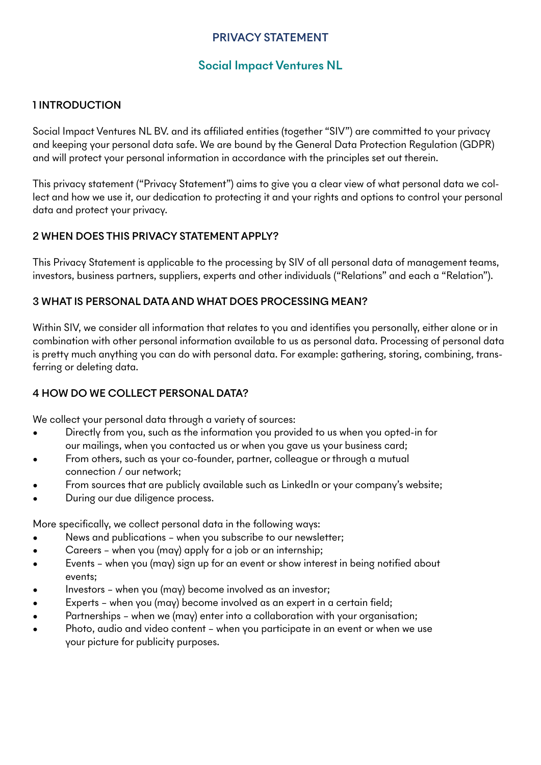# PRIVACY STATEMENT

# Social Impact Ventures NL

#### 1 INTRODUCTION

Social Impact Ventures NL BV. and its affiliated entities (together "SIV") are committed to your privacy and keeping your personal data safe. We are bound by the General Data Protection Regulation (GDPR) and will protect your personal information in accordance with the principles set out therein.

This privacy statement ("Privacy Statement") aims to give you a clear view of what personal data we collect and how we use it, our dedication to protecting it and your rights and options to control your personal data and protect your privacy.

#### 2 WHEN DOES THIS PRIVACY STATEMENT APPLY?

This Privacy Statement is applicable to the processing by SIV of all personal data of management teams, investors, business partners, suppliers, experts and other individuals ("Relations" and each a "Relation").

#### 3 WHAT IS PERSONAL DATA AND WHAT DOES PROCESSING MEAN?

Within SIV, we consider all information that relates to you and identifies you personally, either alone or in combination with other personal information available to us as personal data. Processing of personal data is pretty much anything you can do with personal data. For example: gathering, storing, combining, transferring or deleting data.

## 4 HOW DO WE COLLECT PERSONAL DATA?

We collect your personal data through a variety of sources:

- Directly from you, such as the information you provided to us when you opted-in for our mailings, when you contacted us or when you gave us your business card;
- From others, such as your co-founder, partner, colleague or through a mutual connection / our network;
- From sources that are publicly available such as LinkedIn or your company's website;
- During our due diligence process.

More specifically, we collect personal data in the following ways:

- News and publications when you subscribe to our newsletter;
- Careers when you (may) apply for a job or an internship;
- Events when you (may) sign up for an event or show interest in being notified about events;
- Investors when you (may) become involved as an investor;
- Experts when you (may) become involved as an expert in a certain field;
- Partnerships when we (may) enter into a collaboration with your organisation;
- Photo, audio and video content when you participate in an event or when we use your picture for publicity purposes.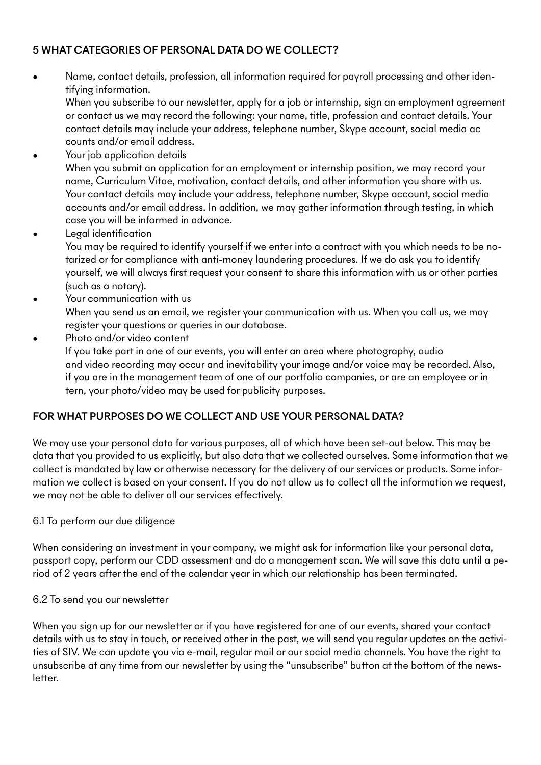## 5 WHAT CATEGORIES OF PERSONAL DATA DO WE COLLECT?

• Name, contact details, profession, all information required for payroll processing and other identifying information.

When you subscribe to our newsletter, apply for a job or internship, sign an employment agreement or contact us we may record the following: your name, title, profession and contact details. Your contact details may include your address, telephone number, Skype account, social media ac counts and/or email address.

- Your job application details When you submit an application for an employment or internship position, we may record your name, Curriculum Vitae, motivation, contact details, and other information you share with us. Your contact details may include your address, telephone number, Skype account, social media accounts and/or email address. In addition, we may gather information through testing, in which case you will be informed in advance.
- Legal identification You may be required to identify yourself if we enter into a contract with you which needs to be notarized or for compliance with anti-money laundering procedures. If we do ask you to identify yourself, we will always first request your consent to share this information with us or other parties (such as a notary).
- Your communication with us When you send us an email, we register your communication with us. When you call us, we may register your questions or queries in our database.

Photo and/or video content If you take part in one of our events, you will enter an area where photography, audio and video recording may occur and inevitability your image and/or voice may be recorded. Also, if you are in the management team of one of our portfolio companies, or are an employee or in tern, your photo/video may be used for publicity purposes.

## FOR WHAT PURPOSES DO WE COLLECT AND USE YOUR PERSONAL DATA?

We may use your personal data for various purposes, all of which have been set-out below. This may be data that you provided to us explicitly, but also data that we collected ourselves. Some information that we collect is mandated by law or otherwise necessary for the delivery of our services or products. Some information we collect is based on your consent. If you do not allow us to collect all the information we request, we may not be able to deliver all our services effectively.

#### 6.1 To perform our due diligence

When considering an investment in your company, we might ask for information like your personal data, passport copy, perform our CDD assessment and do a management scan. We will save this data until a period of 2 years after the end of the calendar year in which our relationship has been terminated.

## 6.2 To send you our newsletter

When you sign up for our newsletter or if you have registered for one of our events, shared your contact details with us to stay in touch, or received other in the past, we will send you regular updates on the activities of SIV. We can update you via e-mail, regular mail or our social media channels. You have the right to unsubscribe at any time from our newsletter by using the "unsubscribe" button at the bottom of the newsletter.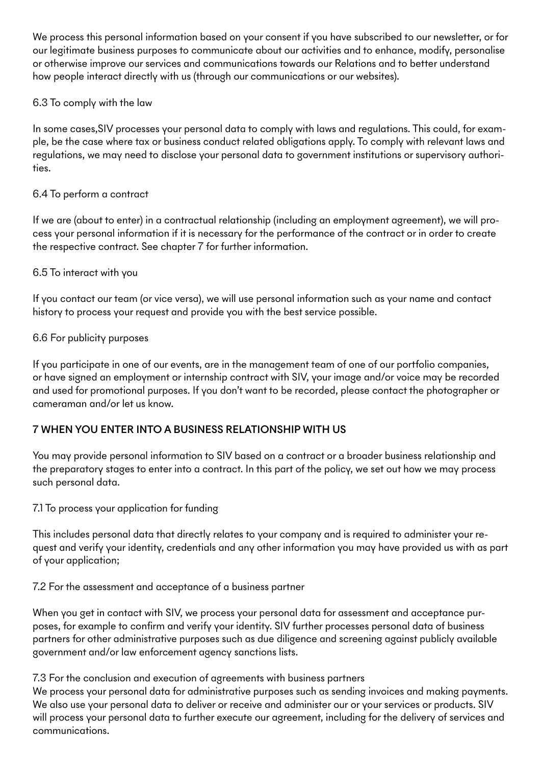We process this personal information based on your consent if you have subscribed to our newsletter, or for our legitimate business purposes to communicate about our activities and to enhance, modify, personalise or otherwise improve our services and communications towards our Relations and to better understand how people interact directly with us (through our communications or our websites).

#### 6.3 To comply with the law

In some cases,SIV processes your personal data to comply with laws and regulations. This could, for example, be the case where tax or business conduct related obligations apply. To comply with relevant laws and regulations, we may need to disclose your personal data to government institutions or supervisory authorities.

#### 6.4 To perform a contract

If we are (about to enter) in a contractual relationship (including an employment agreement), we will process your personal information if it is necessary for the performance of the contract or in order to create the respective contract. See chapter 7 for further information.

#### 6.5 To interact with you

If you contact our team (or vice versa), we will use personal information such as your name and contact history to process your request and provide you with the best service possible.

#### 6.6 For publicity purposes

If you participate in one of our events, are in the management team of one of our portfolio companies, or have signed an employment or internship contract with SIV, your image and/or voice may be recorded and used for promotional purposes. If you don't want to be recorded, please contact the photographer or cameraman and/or let us know.

## 7 WHEN YOU ENTER INTO A BUSINESS RELATIONSHIP WITH US

You may provide personal information to SIV based on a contract or a broader business relationship and the preparatory stages to enter into a contract. In this part of the policy, we set out how we may process such personal data.

7.1 To process your application for funding

This includes personal data that directly relates to your company and is required to administer your request and verify your identity, credentials and any other information you may have provided us with as part of your application;

7.2 For the assessment and acceptance of a business partner

When you get in contact with SIV, we process your personal data for assessment and acceptance purposes, for example to confirm and verify your identity. SIV further processes personal data of business partners for other administrative purposes such as due diligence and screening against publicly available government and/or law enforcement agency sanctions lists.

#### 7.3 For the conclusion and execution of agreements with business partners

We process your personal data for administrative purposes such as sending invoices and making payments. We also use your personal data to deliver or receive and administer our or your services or products. SIV will process your personal data to further execute our agreement, including for the delivery of services and communications.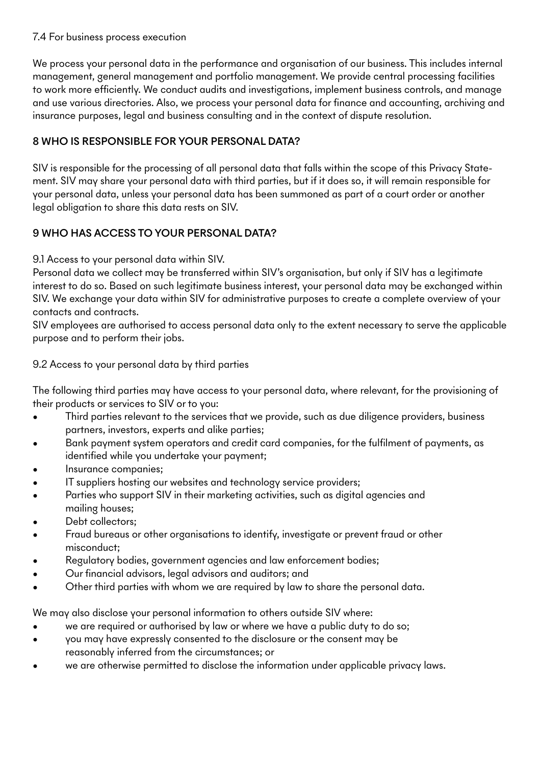#### 7.4 For business process execution

We process your personal data in the performance and organisation of our business. This includes internal management, general management and portfolio management. We provide central processing facilities to work more efficiently. We conduct audits and investigations, implement business controls, and manage and use various directories. Also, we process your personal data for finance and accounting, archiving and insurance purposes, legal and business consulting and in the context of dispute resolution.

## 8 WHO IS RESPONSIBLE FOR YOUR PERSONAL DATA?

SIV is responsible for the processing of all personal data that falls within the scope of this Privacy Statement. SIV may share your personal data with third parties, but if it does so, it will remain responsible for your personal data, unless your personal data has been summoned as part of a court order or another legal obligation to share this data rests on SIV.

## 9 WHO HAS ACCESS TO YOUR PERSONAL DATA?

9.1 Access to your personal data within SIV.

Personal data we collect may be transferred within SIV's organisation, but only if SIV has a legitimate interest to do so. Based on such legitimate business interest, your personal data may be exchanged within SIV. We exchange your data within SIV for administrative purposes to create a complete overview of your contacts and contracts.

SIV employees are authorised to access personal data only to the extent necessary to serve the applicable purpose and to perform their jobs.

9.2 Access to your personal data by third parties

The following third parties may have access to your personal data, where relevant, for the provisioning of their products or services to SIV or to you:

- Third parties relevant to the services that we provide, such as due diligence providers, business partners, investors, experts and alike parties;
- Bank payment system operators and credit card companies, for the fulfilment of payments, as identified while you undertake your payment;
- Insurance companies;
- IT suppliers hosting our websites and technology service providers;
- Parties who support SIV in their marketing activities, such as digital agencies and mailing houses;
- Debt collectors;
- Fraud bureaus or other organisations to identify, investigate or prevent fraud or other misconduct;
- Regulatory bodies, government agencies and law enforcement bodies;
- Our financial advisors, legal advisors and auditors; and
- Other third parties with whom we are required by law to share the personal data.

We may also disclose your personal information to others outside SIV where:

- we are required or authorised by law or where we have a public duty to do so;
- you may have expressly consented to the disclosure or the consent may be reasonably inferred from the circumstances; or
- we are otherwise permitted to disclose the information under applicable privacy laws.